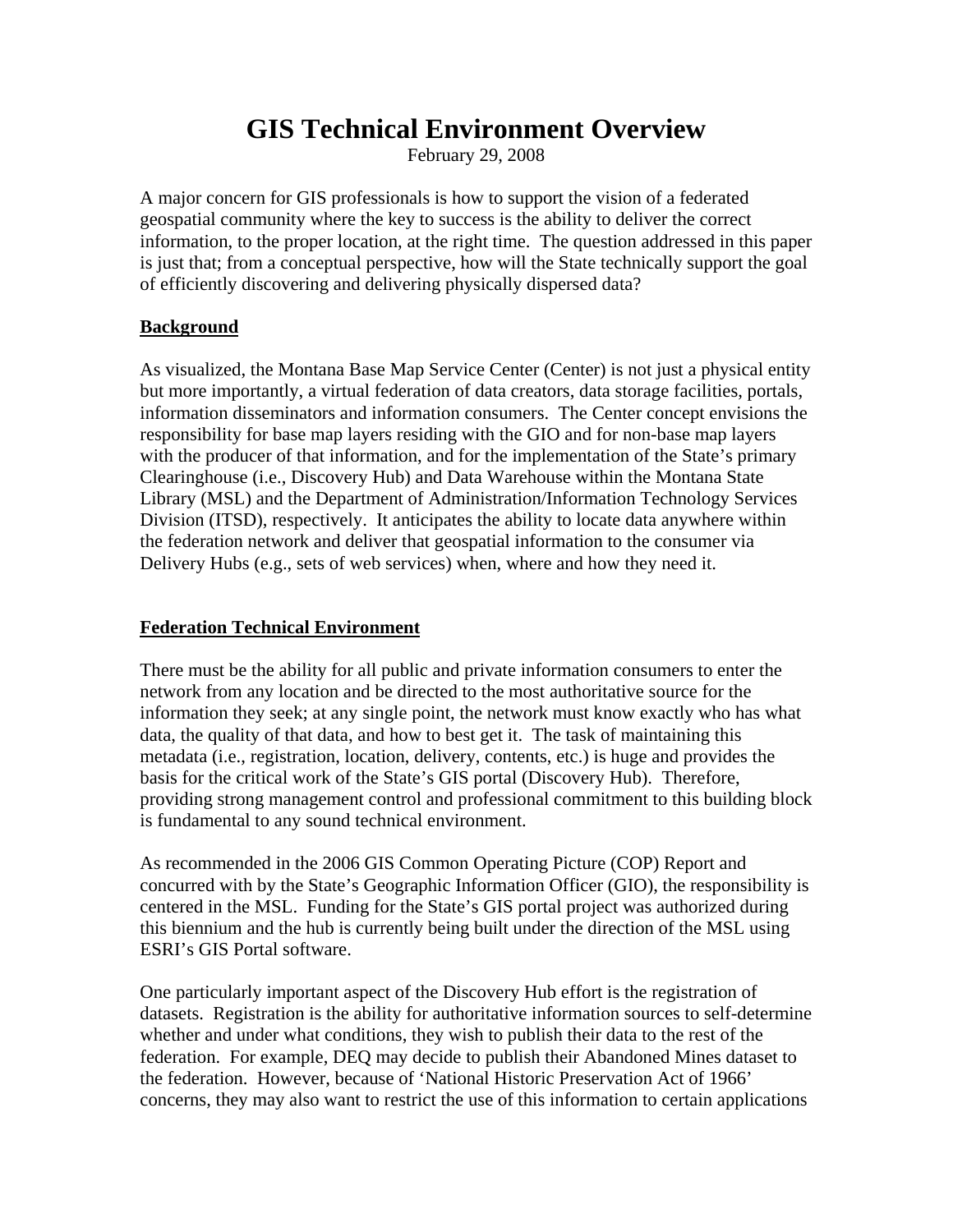## **GIS Technical Environment Overview**

February 29, 2008

A major concern for GIS professionals is how to support the vision of a federated geospatial community where the key to success is the ability to deliver the correct information, to the proper location, at the right time. The question addressed in this paper is just that; from a conceptual perspective, how will the State technically support the goal of efficiently discovering and delivering physically dispersed data?

### **Background**

As visualized, the Montana Base Map Service Center (Center) is not just a physical entity but more importantly, a virtual federation of data creators, data storage facilities, portals, information disseminators and information consumers. The Center concept envisions the responsibility for base map layers residing with the GIO and for non-base map layers with the producer of that information, and for the implementation of the State's primary Clearinghouse (i.e., Discovery Hub) and Data Warehouse within the Montana State Library (MSL) and the Department of Administration/Information Technology Services Division (ITSD), respectively. It anticipates the ability to locate data anywhere within the federation network and deliver that geospatial information to the consumer via Delivery Hubs (e.g., sets of web services) when, where and how they need it.

### **Federation Technical Environment**

There must be the ability for all public and private information consumers to enter the network from any location and be directed to the most authoritative source for the information they seek; at any single point, the network must know exactly who has what data, the quality of that data, and how to best get it. The task of maintaining this metadata (i.e., registration, location, delivery, contents, etc.) is huge and provides the basis for the critical work of the State's GIS portal (Discovery Hub). Therefore, providing strong management control and professional commitment to this building block is fundamental to any sound technical environment.

As recommended in the 2006 GIS Common Operating Picture (COP) Report and concurred with by the State's Geographic Information Officer (GIO), the responsibility is centered in the MSL. Funding for the State's GIS portal project was authorized during this biennium and the hub is currently being built under the direction of the MSL using ESRI's GIS Portal software.

One particularly important aspect of the Discovery Hub effort is the registration of datasets. Registration is the ability for authoritative information sources to self-determine whether and under what conditions, they wish to publish their data to the rest of the federation. For example, DEQ may decide to publish their Abandoned Mines dataset to the federation. However, because of 'National Historic Preservation Act of 1966' concerns, they may also want to restrict the use of this information to certain applications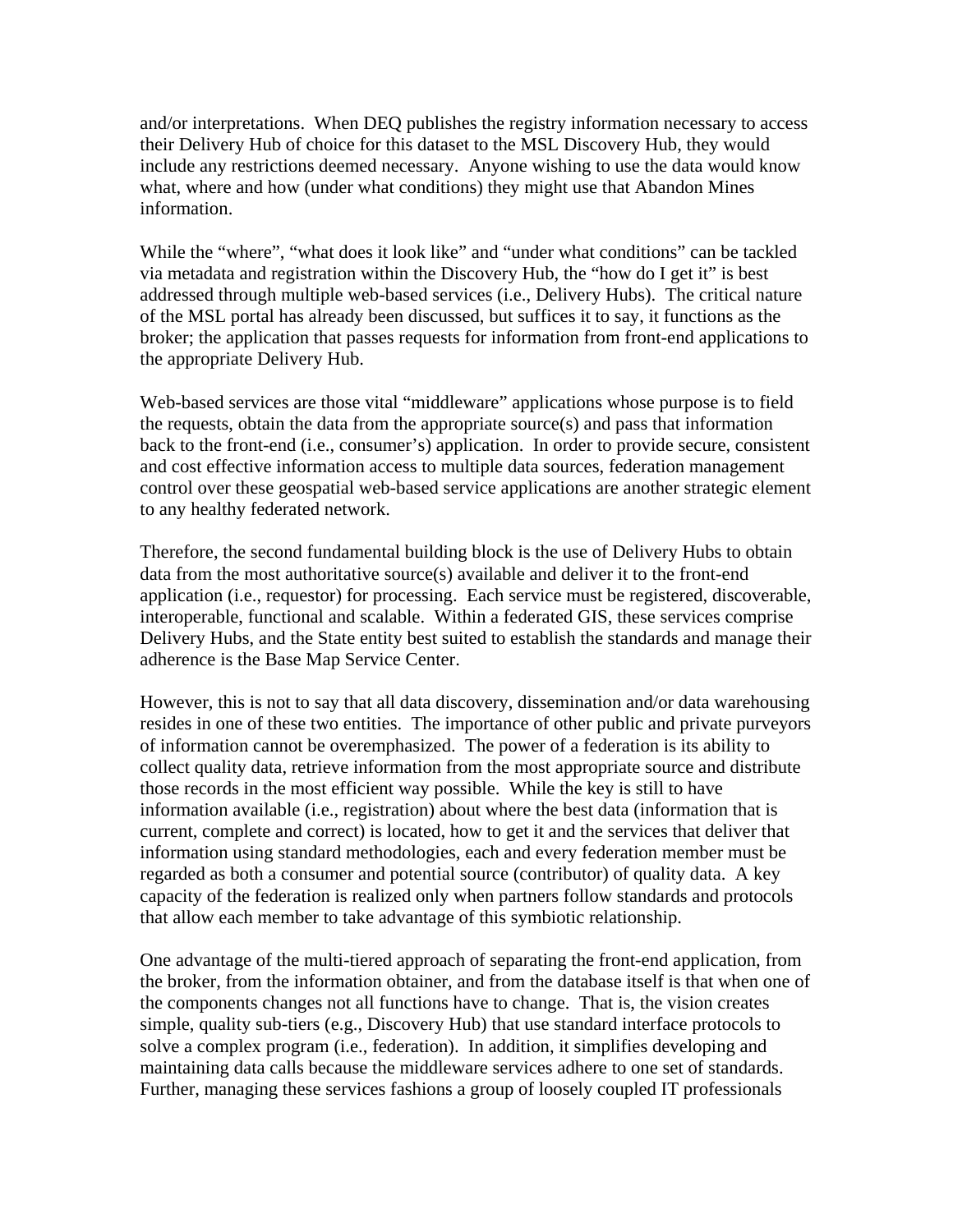and/or interpretations. When DEQ publishes the registry information necessary to access their Delivery Hub of choice for this dataset to the MSL Discovery Hub, they would include any restrictions deemed necessary. Anyone wishing to use the data would know what, where and how (under what conditions) they might use that Abandon Mines information.

While the "where", "what does it look like" and "under what conditions" can be tackled via metadata and registration within the Discovery Hub, the "how do I get it" is best addressed through multiple web-based services (i.e., Delivery Hubs). The critical nature of the MSL portal has already been discussed, but suffices it to say, it functions as the broker; the application that passes requests for information from front-end applications to the appropriate Delivery Hub.

Web-based services are those vital "middleware" applications whose purpose is to field the requests, obtain the data from the appropriate source(s) and pass that information back to the front-end (i.e., consumer's) application. In order to provide secure, consistent and cost effective information access to multiple data sources, federation management control over these geospatial web-based service applications are another strategic element to any healthy federated network.

Therefore, the second fundamental building block is the use of Delivery Hubs to obtain data from the most authoritative source(s) available and deliver it to the front-end application (i.e., requestor) for processing. Each service must be registered, discoverable, interoperable, functional and scalable. Within a federated GIS, these services comprise Delivery Hubs, and the State entity best suited to establish the standards and manage their adherence is the Base Map Service Center.

However, this is not to say that all data discovery, dissemination and/or data warehousing resides in one of these two entities. The importance of other public and private purveyors of information cannot be overemphasized. The power of a federation is its ability to collect quality data, retrieve information from the most appropriate source and distribute those records in the most efficient way possible. While the key is still to have information available (i.e., registration) about where the best data (information that is current, complete and correct) is located, how to get it and the services that deliver that information using standard methodologies, each and every federation member must be regarded as both a consumer and potential source (contributor) of quality data. A key capacity of the federation is realized only when partners follow standards and protocols that allow each member to take advantage of this symbiotic relationship.

One advantage of the multi-tiered approach of separating the front-end application, from the broker, from the information obtainer, and from the database itself is that when one of the components changes not all functions have to change. That is, the vision creates simple, quality sub-tiers (e.g., Discovery Hub) that use standard interface protocols to solve a complex program (i.e., federation). In addition, it simplifies developing and maintaining data calls because the middleware services adhere to one set of standards. Further, managing these services fashions a group of loosely coupled IT professionals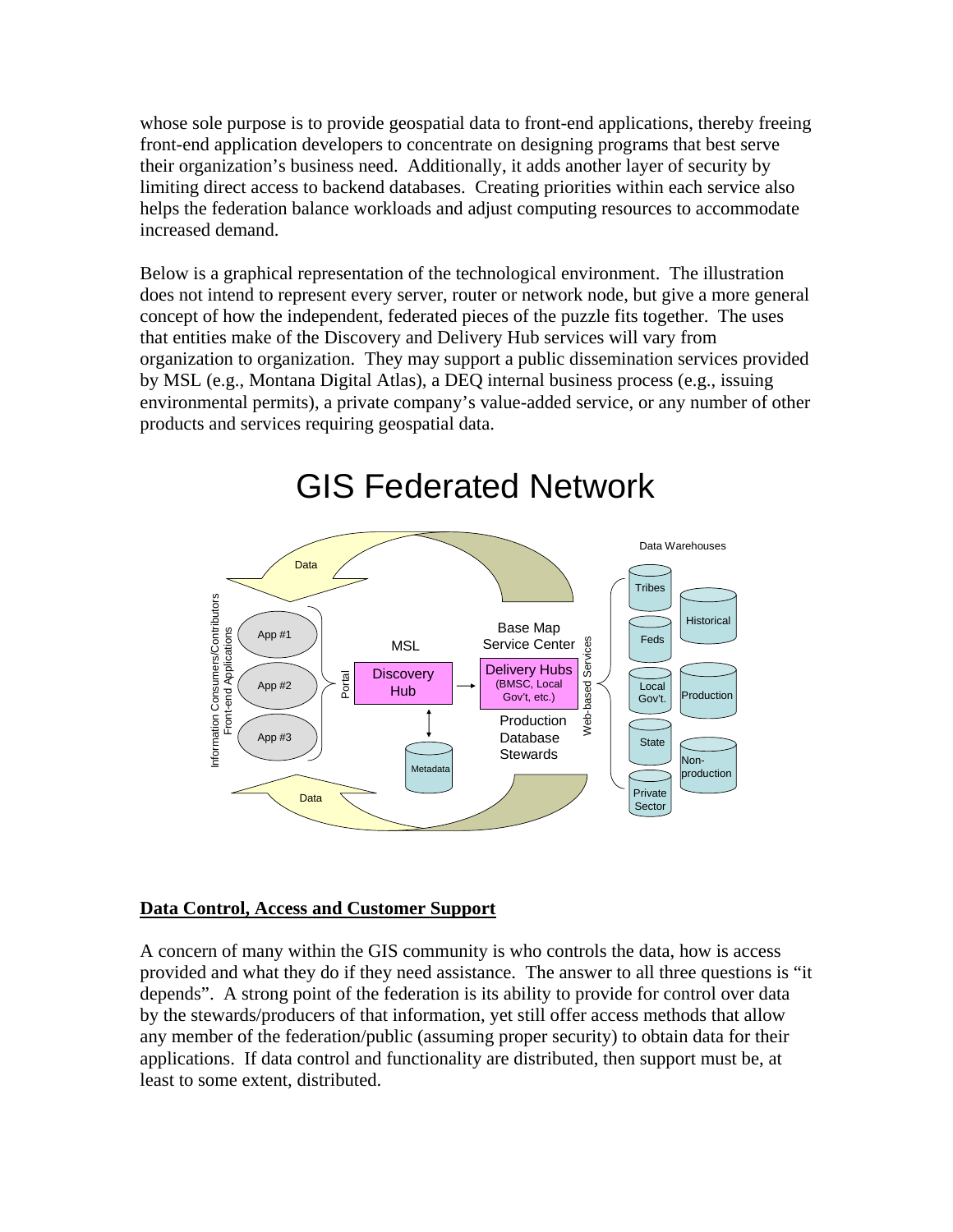whose sole purpose is to provide geospatial data to front-end applications, thereby freeing front-end application developers to concentrate on designing programs that best serve their organization's business need. Additionally, it adds another layer of security by limiting direct access to backend databases. Creating priorities within each service also helps the federation balance workloads and adjust computing resources to accommodate increased demand.

Below is a graphical representation of the technological environment. The illustration does not intend to represent every server, router or network node, but give a more general concept of how the independent, federated pieces of the puzzle fits together. The uses that entities make of the Discovery and Delivery Hub services will vary from organization to organization. They may support a public dissemination services provided by MSL (e.g., Montana Digital Atlas), a DEQ internal business process (e.g., issuing environmental permits), a private company's value-added service, or any number of other products and services requiring geospatial data.



# GIS Federated Network

### **Data Control, Access and Customer Support**

A concern of many within the GIS community is who controls the data, how is access provided and what they do if they need assistance. The answer to all three questions is "it depends". A strong point of the federation is its ability to provide for control over data by the stewards/producers of that information, yet still offer access methods that allow any member of the federation/public (assuming proper security) to obtain data for their applications. If data control and functionality are distributed, then support must be, at least to some extent, distributed.